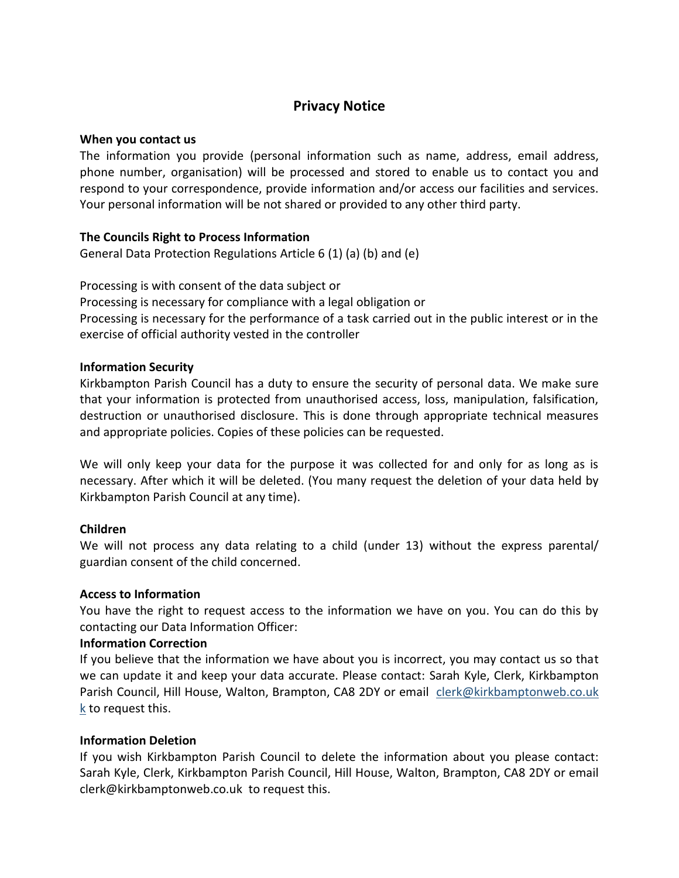# **Privacy Notice**

# **When you contact us**

The information you provide (personal information such as name, address, email address, phone number, organisation) will be processed and stored to enable us to contact you and respond to your correspondence, provide information and/or access our facilities and services. Your personal information will be not shared or provided to any other third party.

## **The Councils Right to Process Information**

General Data Protection Regulations Article 6 (1) (a) (b) and (e)

Processing is with consent of the data subject or

Processing is necessary for compliance with a legal obligation or

Processing is necessary for the performance of a task carried out in the public interest or in the exercise of official authority vested in the controller

## **Information Security**

Kirkbampton Parish Council has a duty to ensure the security of personal data. We make sure that your information is protected from unauthorised access, loss, manipulation, falsification, destruction or unauthorised disclosure. This is done through appropriate technical measures and appropriate policies. Copies of these policies can be requested.

We will only keep your data for the purpose it was collected for and only for as long as is necessary. After which it will be deleted. (You many request the deletion of your data held by Kirkbampton Parish Council at any time).

# **Children**

We will not process any data relating to a child (under 13) without the express parental/ guardian consent of the child concerned.

#### **Access to Information**

You have the right to request access to the information we have on you. You can do this by contacting our Data Information Officer:

#### **Information Correction**

If you believe that the information we have about you is incorrect, you may contact us so that we can update it and keep your data accurate. Please contact: Sarah Kyle, Clerk, Kirkbampton Parish Council, Hill House, Walton, Brampton, CA8 2DY or email [clerk@kirkbamptonweb.co.uk](mailto:clerk@stanwixrural.co.uk)  [k](mailto:clerk@stanwixrural.co.uk) to request this.

# **Information Deletion**

If you wish Kirkbampton Parish Council to delete the information about you please contact: Sarah Kyle, Clerk, Kirkbampton Parish Council, Hill House, Walton, Brampton, CA8 2DY or email clerk@kirkbamptonweb.co.uk to request this.